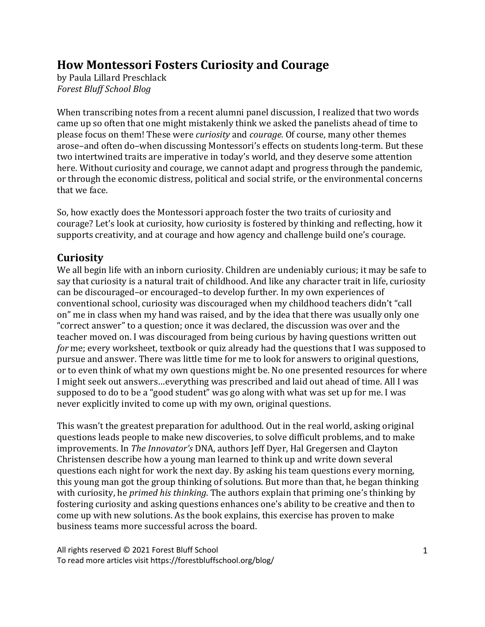# **How Montessori Fosters Curiosity and Courage**

by Paula Lillard Preschlack *Forest Bluff School Blog*

When transcribing notes from a recent alumni panel discussion, I realized that two words came up so often that one might mistakenly think we asked the panelists ahead of time to please focus on them! These were *curiosity* and *courage*. Of course, many other themes arose-and often do-when discussing Montessori's effects on students long-term. But these two intertwined traits are imperative in today's world, and they deserve some attention here. Without curiosity and courage, we cannot adapt and progress through the pandemic, or through the economic distress, political and social strife, or the environmental concerns that we face.

So, how exactly does the Montessori approach foster the two traits of curiosity and courage? Let's look at curiosity, how curiosity is fostered by thinking and reflecting, how it supports creativity, and at courage and how agency and challenge build one's courage.

## **Curiosity**

We all begin life with an inborn curiosity. Children are undeniably curious; it may be safe to say that curiosity is a natural trait of childhood. And like any character trait in life, curiosity can be discouraged–or encouraged–to develop further. In my own experiences of conventional school, curiosity was discouraged when my childhood teachers didn't "call on" me in class when my hand was raised, and by the idea that there was usually only one "correct answer" to a question; once it was declared, the discussion was over and the teacher moved on. I was discouraged from being curious by having questions written out *for* me; every worksheet, textbook or quiz already had the questions that I was supposed to pursue and answer. There was little time for me to look for answers to original questions, or to even think of what my own questions might be. No one presented resources for where I might seek out answers...everything was prescribed and laid out ahead of time. All I was supposed to do to be a "good student" was go along with what was set up for me. I was never explicitly invited to come up with my own, original questions.

This wasn't the greatest preparation for adulthood. Out in the real world, asking original questions leads people to make new discoveries, to solve difficult problems, and to make improvements. In *The Innovator's* DNA, authors Jeff Dyer, Hal Gregersen and Clayton Christensen describe how a young man learned to think up and write down several questions each night for work the next day. By asking his team questions every morning, this young man got the group thinking of solutions. But more than that, he began thinking with curiosity, he *primed his thinking*. The authors explain that priming one's thinking by fostering curiosity and asking questions enhances one's ability to be creative and then to come up with new solutions. As the book explains, this exercise has proven to make business teams more successful across the board.

All rights reserved © 2021 Forest Bluff School To read more articles visit https://forestbluffschool.org/blog/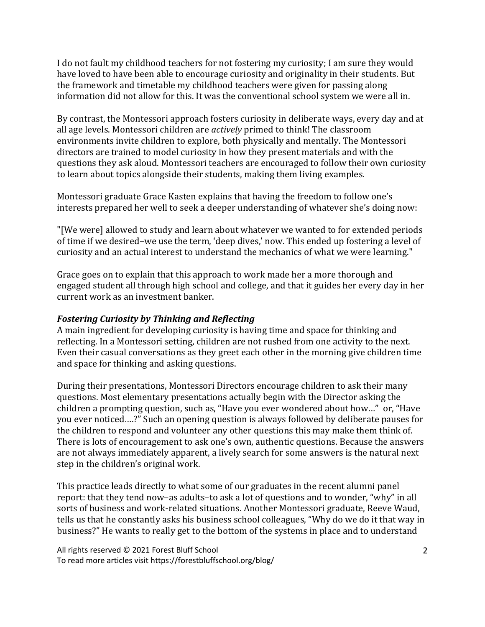I do not fault my childhood teachers for not fostering my curiosity; I am sure they would have loved to have been able to encourage curiosity and originality in their students. But the framework and timetable my childhood teachers were given for passing along information did not allow for this. It was the conventional school system we were all in.

By contrast, the Montessori approach fosters curiosity in deliberate ways, every day and at all age levels. Montessori children are *actively* primed to think! The classroom environments invite children to explore, both physically and mentally. The Montessori directors are trained to model curiosity in how they present materials and with the questions they ask aloud. Montessori teachers are encouraged to follow their own curiosity to learn about topics alongside their students, making them living examples.

Montessori graduate Grace Kasten explains that having the freedom to follow one's interests prepared her well to seek a deeper understanding of whatever she's doing now:

"[We were] allowed to study and learn about whatever we wanted to for extended periods of time if we desired–we use the term, 'deep dives,' now. This ended up fostering a level of curiosity and an actual interest to understand the mechanics of what we were learning."

Grace goes on to explain that this approach to work made her a more thorough and engaged student all through high school and college, and that it guides her every day in her current work as an investment banker.

#### **Fostering Curiosity by Thinking and Reflecting**

A main ingredient for developing curiosity is having time and space for thinking and reflecting. In a Montessori setting, children are not rushed from one activity to the next. Even their casual conversations as they greet each other in the morning give children time and space for thinking and asking questions.

During their presentations, Montessori Directors encourage children to ask their many questions. Most elementary presentations actually begin with the Director asking the children a prompting question, such as, "Have you ever wondered about how..." or, "Have you ever noticed....?" Such an opening question is always followed by deliberate pauses for the children to respond and volunteer any other questions this may make them think of. There is lots of encouragement to ask one's own, authentic questions. Because the answers are not always immediately apparent, a lively search for some answers is the natural next step in the children's original work.

This practice leads directly to what some of our graduates in the recent alumni panel report: that they tend now-as adults-to ask a lot of questions and to wonder, "why" in all sorts of business and work-related situations. Another Montessori graduate, Reeve Waud, tells us that he constantly asks his business school colleagues, "Why do we do it that way in business?" He wants to really get to the bottom of the systems in place and to understand

All rights reserved © 2021 Forest Bluff School To read more articles visit https://forestbluffschool.org/blog/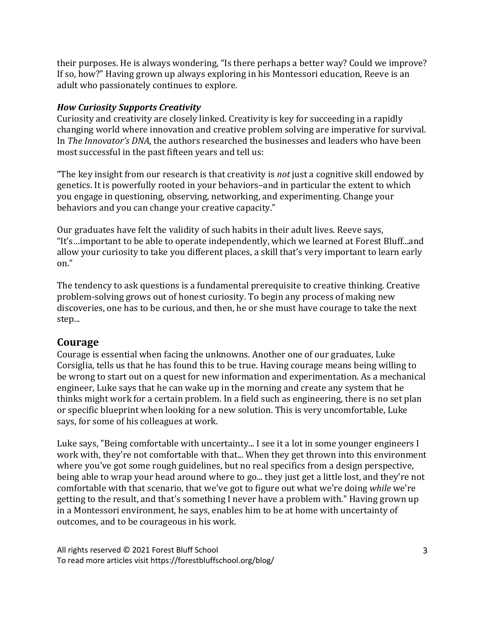their purposes. He is always wondering, "Is there perhaps a better way? Could we improve? If so, how?" Having grown up always exploring in his Montessori education, Reeve is an adult who passionately continues to explore.

#### *How Curiosity Supports Creativity*

Curiosity and creativity are closely linked. Creativity is key for succeeding in a rapidly changing world where innovation and creative problem solving are imperative for survival. In *The Innovator's DNA*, the authors researched the businesses and leaders who have been most successful in the past fifteen years and tell us:

"The key insight from our research is that creativity is *not* just a cognitive skill endowed by genetics. It is powerfully rooted in your behaviors-and in particular the extent to which you engage in questioning, observing, networking, and experimenting. Change your behaviors and you can change your creative capacity."

Our graduates have felt the validity of such habits in their adult lives. Reeve says, "It's...important to be able to operate independently, which we learned at Forest Bluff...and allow your curiosity to take you different places, a skill that's very important to learn early on."

The tendency to ask questions is a fundamental prerequisite to creative thinking. Creative problem-solving grows out of honest curiosity. To begin any process of making new discoveries, one has to be curious, and then, he or she must have courage to take the next step...

### **Courage**

Courage is essential when facing the unknowns. Another one of our graduates, Luke Corsiglia, tells us that he has found this to be true. Having courage means being willing to be wrong to start out on a quest for new information and experimentation. As a mechanical engineer, Luke says that he can wake up in the morning and create any system that he thinks might work for a certain problem. In a field such as engineering, there is no set plan or specific blueprint when looking for a new solution. This is very uncomfortable, Luke says, for some of his colleagues at work.

Luke says, "Being comfortable with uncertainty... I see it a lot in some younger engineers I work with, they're not comfortable with that... When they get thrown into this environment where you've got some rough guidelines, but no real specifics from a design perspective, being able to wrap your head around where to go... they just get a little lost, and they're not comfortable with that scenario, that we've got to figure out what we're doing *while* we're getting to the result, and that's something I never have a problem with." Having grown up in a Montessori environment, he says, enables him to be at home with uncertainty of outcomes, and to be courageous in his work.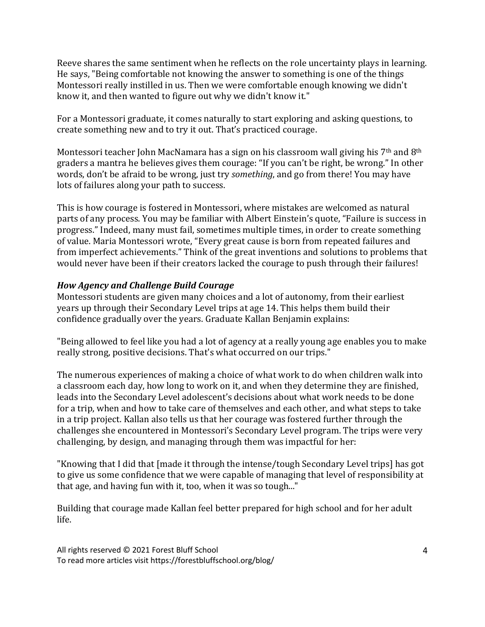Reeve shares the same sentiment when he reflects on the role uncertainty plays in learning. He says, "Being comfortable not knowing the answer to something is one of the things Montessori really instilled in us. Then we were comfortable enough knowing we didn't know it, and then wanted to figure out why we didn't know it."

For a Montessori graduate, it comes naturally to start exploring and asking questions, to create something new and to try it out. That's practiced courage.

Montessori teacher John MacNamara has a sign on his classroom wall giving his  $7<sup>th</sup>$  and  $8<sup>th</sup>$ graders a mantra he believes gives them courage: "If you can't be right, be wrong." In other words, don't be afraid to be wrong, just try *something*, and go from there! You may have lots of failures along your path to success.

This is how courage is fostered in Montessori, where mistakes are welcomed as natural parts of any process. You may be familiar with Albert Einstein's quote, "Failure is success in progress." Indeed, many must fail, sometimes multiple times, in order to create something of value. Maria Montessori wrote, "Every great cause is born from repeated failures and from imperfect achievements." Think of the great inventions and solutions to problems that would never have been if their creators lacked the courage to push through their failures!

### *How Agency and Challenge Build Courage*

Montessori students are given many choices and a lot of autonomy, from their earliest years up through their Secondary Level trips at age 14. This helps them build their confidence gradually over the years. Graduate Kallan Benjamin explains:

"Being allowed to feel like you had a lot of agency at a really young age enables you to make really strong, positive decisions. That's what occurred on our trips."

The numerous experiences of making a choice of what work to do when children walk into a classroom each day, how long to work on it, and when they determine they are finished, leads into the Secondary Level adolescent's decisions about what work needs to be done for a trip, when and how to take care of themselves and each other, and what steps to take in a trip project. Kallan also tells us that her courage was fostered further through the challenges she encountered in Montessori's Secondary Level program. The trips were very challenging, by design, and managing through them was impactful for her:

"Knowing that I did that [made it through the intense/tough Secondary Level trips] has got to give us some confidence that we were capable of managing that level of responsibility at that age, and having fun with it, too, when it was so tough..."

Building that courage made Kallan feel better prepared for high school and for her adult life.